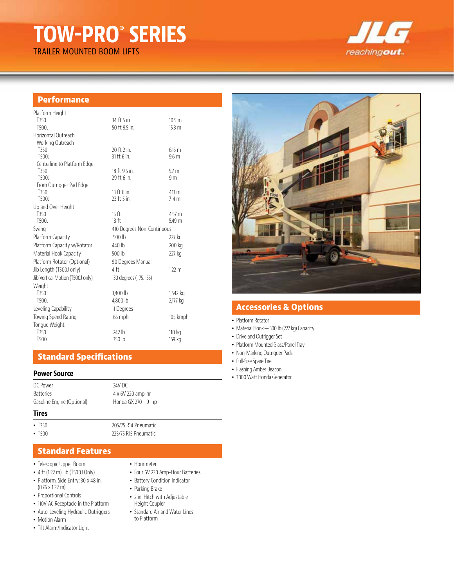## **TOW-PRO**®  **SERIES** TRAILER MOUNTED BOOM LIFTS

reachingout.

## **Performance**

| Platform Height                  |                              |                   |
|----------------------------------|------------------------------|-------------------|
| T350                             | 34 ft 5 in.                  | 10.5 <sub>m</sub> |
| T5001                            | 50 ft 9.5 in.                | 15.3 <sub>m</sub> |
| Horizontal Outreach              |                              |                   |
| Working Outreach                 |                              |                   |
| T350                             | 20 ft 2 in.                  | $6.15 \text{ m}$  |
| T500J                            | 31 ft 6 in.                  | 9.6 <sub>m</sub>  |
| Centerline to Platform Edge      |                              |                   |
| T350                             | 18 ft 9.5 in.<br>29 ft 6 in. | 5.7 <sub>m</sub>  |
| T500J<br>From Outrigger Pad Edge |                              | 9 <sub>m</sub>    |
| T350                             | $13$ ft 6 in.                | 4.11 m            |
| T500J                            | 23 ft 5 in                   | 714 m             |
| Up and Over Height               |                              |                   |
| T350                             | 15 <sub>ft</sub>             | 4.57 m            |
| T500J                            | 18 <sup>ft</sup>             | 5.49 m            |
| Swing                            | 410 Degrees Non-Continuous   |                   |
| Platform Capacity                | 500 lb                       | 227 kg            |
| Platform Capacity w/Rotator      | 440 lb                       | 200 kg            |
| Material Hook Capacity           | 500 lb                       | 227 kg            |
| Platform Rotator (Optional)      | 90 Degrees Manual            |                   |
| Jib Length (T500J only)          | 4ft                          | $122 \text{ m}$   |
| Jib Vertical Motion (T500J only) | 130 degrees (+75, -55)       |                   |
| Weight                           |                              |                   |
| T350                             | 3,400 lb                     | 1,542 kg          |
| T500J                            | 4,800 lb                     | 2,177 kg          |
| Leveling Capability              | 11 Degrees                   |                   |
| Towing Speed Rating              | 65 mph                       | 105 kmph          |
| Tongue Weight                    |                              |                   |
| T350                             | 242 lb                       | 110 kg            |
|                                  |                              |                   |
| T500J                            | 350 lb                       | 159 kg            |

## **Standard Specifications**

### **Power Source**

| DC Power<br><b>Batteries</b><br>Gasoline Engine (Optional) | 24V DC<br>4 x 6V 220 amp-hr<br>Honda GX 270-9 hp |
|------------------------------------------------------------|--------------------------------------------------|
| <b>Tires</b>                                               |                                                  |
| $-7350$                                                    | 205/75 R14 Pneumatic                             |
| $\cdot$ T500                                               | 225/75 R15 Pneumatic                             |

### **Standard Features**

- Telescopic Upper Boom
- 4 ft (1.22 m) Jib (T500J Only)
- Platform, Side Entry: 30 x 48 in. (0.76 x 1.22 m)
- Proportional Controls
- 110V-AC Receptacle in the Platform
- Auto-Leveling Hydraulic Outriggers
- Motion Alarm
- Tilt Alarm/Indicator Light

#### • Hourmeter

- Four 6V 220 Amp-Hour Batteries
- Battery Condition Indicator
- Parking Brake
- 2 in. Hitch with Adjustable Height Coupler
- Standard Air and Water Lines to Platform



## **Accessories & Options**

- Platform Rotator
- Material Hook 500 lb (227 kg) Capacity
- Drive and Outrigger Set
- Platform Mounted Glass/Panel Tray
- Non-Marking Outrigger Pads
- Full-Size Spare Tire
- Flashing Amber Beacon
- 3000 Watt Honda Generator